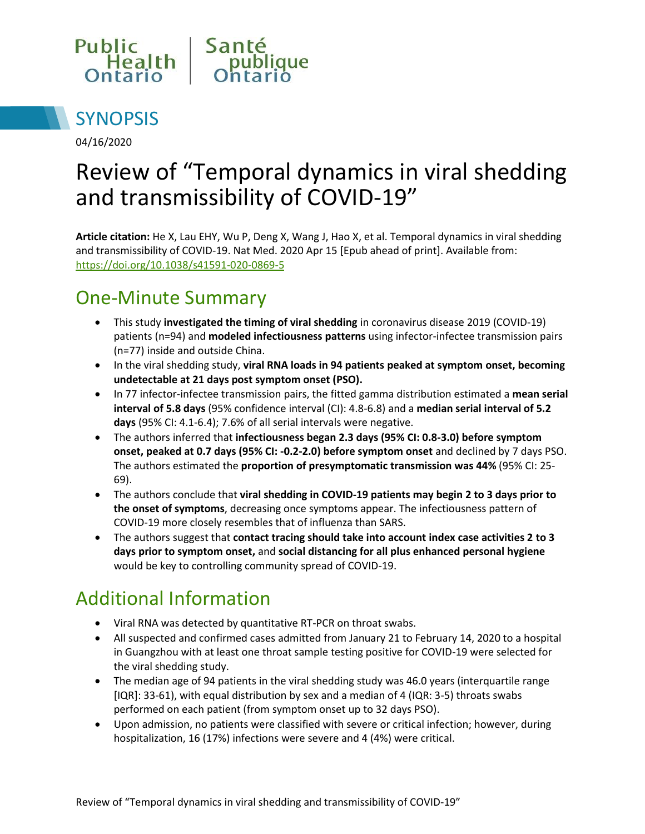



04/16/2020

# Review of "Temporal dynamics in viral shedding and transmissibility of COVID-19"

**Article citation:** He X, Lau EHY, Wu P, Deng X, Wang J, Hao X, et al. Temporal dynamics in viral shedding and transmissibility of COVID-19. Nat Med. 2020 Apr 15 [Epub ahead of print]. Available from: <https://doi.org/10.1038/s41591-020-0869-5>

# One-Minute Summary

- This study **investigated the timing of viral shedding** in coronavirus disease 2019 (COVID-19) patients (n=94) and **modeled infectiousness patterns** using infector-infectee transmission pairs (n=77) inside and outside China.
- In the viral shedding study, **viral RNA loads in 94 patients peaked at symptom onset, becoming undetectable at 21 days post symptom onset (PSO).**
- In 77 infector-infectee transmission pairs, the fitted gamma distribution estimated a **mean serial interval of 5.8 days** (95% confidence interval (CI): 4.8-6.8) and a **median serial interval of 5.2 days** (95% CI: 4.1-6.4); 7.6% of all serial intervals were negative.
- The authors inferred that **infectiousness began 2.3 days (95% CI: 0.8-3.0) before symptom onset, peaked at 0.7 days (95% CI: -0.2-2.0) before symptom onset** and declined by 7 days PSO. The authors estimated the **proportion of presymptomatic transmission was 44%** (95% CI: 25- 69).
- The authors conclude that **viral shedding in COVID-19 patients may begin 2 to 3 days prior to the onset of symptoms**, decreasing once symptoms appear. The infectiousness pattern of COVID-19 more closely resembles that of influenza than SARS.
- The authors suggest that **contact tracing should take into account index case activities 2 to 3 days prior to symptom onset,** and **social distancing for all plus enhanced personal hygiene**  would be key to controlling community spread of COVID-19.

### Additional Information

- Viral RNA was detected by quantitative RT-PCR on throat swabs.
- All suspected and confirmed cases admitted from January 21 to February 14, 2020 to a hospital in Guangzhou with at least one throat sample testing positive for COVID-19 were selected for the viral shedding study.
- The median age of 94 patients in the viral shedding study was 46.0 years (interquartile range [IQR]: 33-61), with equal distribution by sex and a median of 4 (IQR: 3-5) throats swabs performed on each patient (from symptom onset up to 32 days PSO).
- Upon admission, no patients were classified with severe or critical infection; however, during hospitalization, 16 (17%) infections were severe and 4 (4%) were critical.